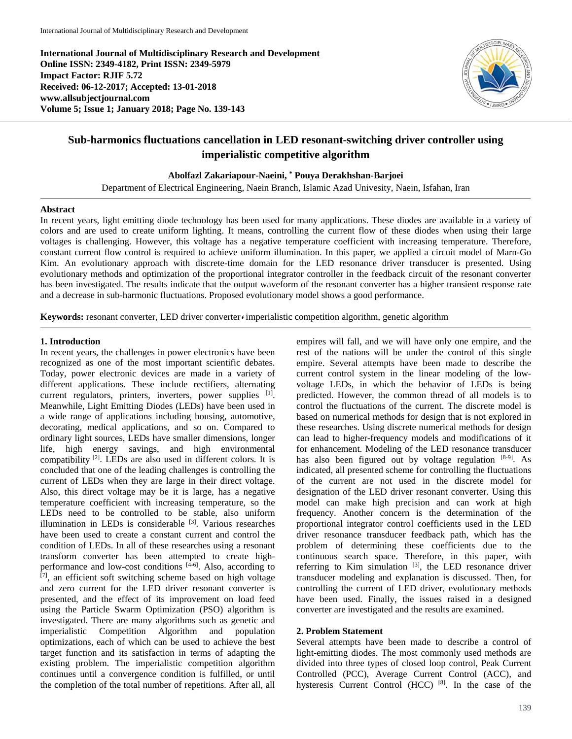**International Journal of Multidisciplinary Research and Development Online ISSN: 2349-4182, Print ISSN: 2349-5979 Impact Factor: RJIF 5.72 Received: 06-12-2017; Accepted: 13-01-2018 www.allsubjectjournal.com Volume 5; Issue 1; January 2018; Page No. 139-143**



# **Sub-harmonics fluctuations cancellation in LED resonant-switching driver controller using imperialistic competitive algorithm**

**Abolfazl Zakariapour-Naeini, \* Pouya Derakhshan-Barjoei**

Department of Electrical Engineering, Naein Branch, Islamic Azad Univesity, Naein, Isfahan, Iran

# **Abstract**

In recent years, light emitting diode technology has been used for many applications. These diodes are available in a variety of colors and are used to create uniform lighting. It means, controlling the current flow of these diodes when using their large voltages is challenging. However, this voltage has a negative temperature coefficient with increasing temperature. Therefore, constant current flow control is required to achieve uniform illumination. In this paper, we applied a circuit model of Marn-Go Kim. An evolutionary approach with discrete-time domain for the LED resonance driver transducer is presented. Using evolutionary methods and optimization of the proportional integrator controller in the feedback circuit of the resonant converter has been investigated. The results indicate that the output waveform of the resonant converter has a higher transient response rate and a decrease in sub-harmonic fluctuations. Proposed evolutionary model shows a good performance.

**Keywords:** resonant converter, LED driver converter *i* imperialistic competition algorithm, genetic algorithm

# **1. Introduction**

In recent years, the challenges in power electronics have been recognized as one of the most important scientific debates. Today, power electronic devices are made in a variety of different applications. These include rectifiers, alternating current regulators, printers, inverters, power supplies [1]. Meanwhile, Light Emitting Diodes (LEDs) have been used in a wide range of applications including housing, automotive, decorating, medical applications, and so on. Compared to ordinary light sources, LEDs have smaller dimensions, longer life, high energy savings, and high environmental compatibility <sup>[2]</sup>. LEDs are also used in different colors. It is concluded that one of the leading challenges is controlling the current of LEDs when they are large in their direct voltage. Also, this direct voltage may be it is large, has a negative temperature coefficient with increasing temperature, so the LEDs need to be controlled to be stable, also uniform illumination in LEDs is considerable [3]. Various researches have been used to create a constant current and control the condition of LEDs. In all of these researches using a resonant transform converter has been attempted to create highperformance and low-cost conditions [4-6]. Also, according to  $[7]$ , an efficient soft switching scheme based on high voltage and zero current for the LED driver resonant converter is presented, and the effect of its improvement on load feed using the Particle Swarm Optimization (PSO) algorithm is investigated. There are many algorithms such as genetic and Competition Algorithm and population optimizations, each of which can be used to achieve the best target function and its satisfaction in terms of adapting the existing problem. The imperialistic competition algorithm continues until a convergence condition is fulfilled, or until the completion of the total number of repetitions. After all, all empires will fall, and we will have only one empire, and the rest of the nations will be under the control of this single empire. Several attempts have been made to describe the current control system in the linear modeling of the lowvoltage LEDs, in which the behavior of LEDs is being predicted. However, the common thread of all models is to control the fluctuations of the current. The discrete model is based on numerical methods for design that is not explored in these researches. Using discrete numerical methods for design can lead to higher-frequency models and modifications of it for enhancement. Modeling of the LED resonance transducer has also been figured out by voltage regulation [8-9]. As indicated, all presented scheme for controlling the fluctuations of the current are not used in the discrete model for designation of the LED driver resonant converter. Using this model can make high precision and can work at high frequency. Another concern is the determination of the proportional integrator control coefficients used in the LED driver resonance transducer feedback path, which has the problem of determining these coefficients due to the continuous search space. Therefore, in this paper, with referring to Kim simulation [3], the LED resonance driver transducer modeling and explanation is discussed. Then, for controlling the current of LED driver, evolutionary methods have been used. Finally, the issues raised in a designed converter are investigated and the results are examined.

# **2. Problem Statement**

Several attempts have been made to describe a control of light-emitting diodes. The most commonly used methods are divided into three types of closed loop control, Peak Current Controlled (PCC), Average Current Control (ACC), and hysteresis Current Control (HCC) <sup>[8]</sup>. In the case of the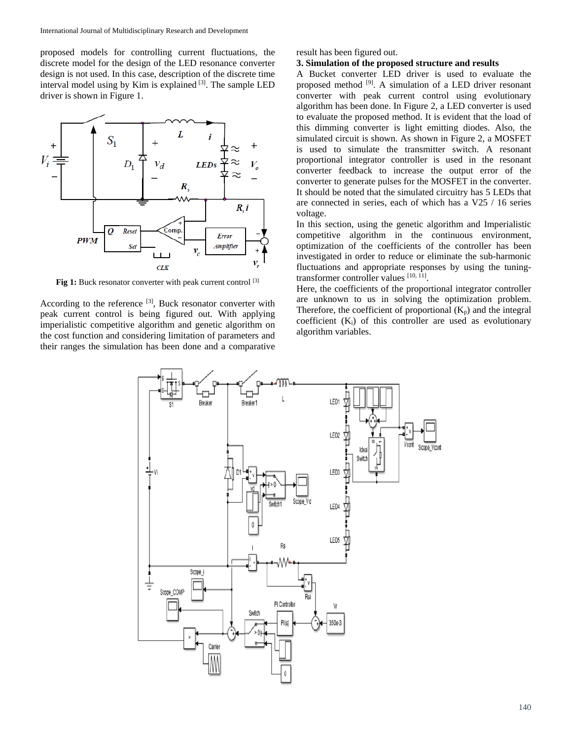proposed models for controlling current fluctuations, the discrete model for the design of the LED resonance converter design is not used. In this case, description of the discrete time interval model using by Kim is explained  $[3]$ . The sample LED driver is shown in Figure 1.



Fig 1: Buck resonator converter with peak current control<sup>[3]</sup>

According to the reference [3], Buck resonator converter with peak current control is being figured out. With applying imperialistic competitive algorithm and genetic algorithm on the cost function and considering limitation of parameters and their ranges the simulation has been done and a comparative

result has been figured out.

#### **3. Simulation of the proposed structure and results**

A Bucket converter LED driver is used to evaluate the proposed method <sup>[9]</sup>. A simulation of a LED driver resonant converter with peak current control using evolutionary algorithm has been done. In Figure 2, a LED converter is used to evaluate the proposed method. It is evident that the load of this dimming converter is light emitting diodes. Also, the simulated circuit is shown. As shown in Figure 2, a MOSFET is used to simulate the transmitter switch. A resonant proportional integrator controller is used in the resonant converter feedback to increase the output error of the converter to generate pulses for the MOSFET in the converter. It should be noted that the simulated circuitry has 5 LEDs that are connected in series, each of which has a V25 / 16 series voltage.

In this section, using the genetic algorithm and Imperialistic competitive algorithm in the continuous environment, optimization of the coefficients of the controller has been investigated in order to reduce or eliminate the sub-harmonic fluctuations and appropriate responses by using the tuningtransformer controller values [10, 11].

Here, the coefficients of the proportional integrator controller are unknown to us in solving the optimization problem. Therefore, the coefficient of proportional  $(K_p)$  and the integral coefficient  $(K_i)$  of this controller are used as evolutionary algorithm variables.

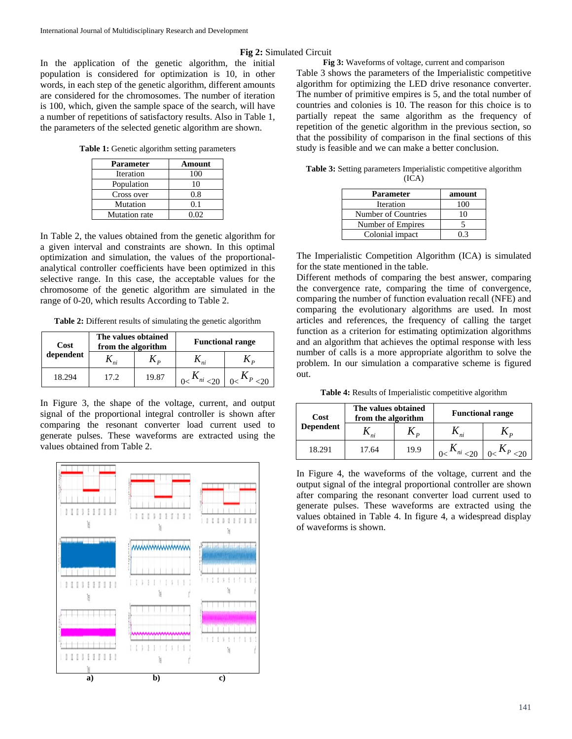**Fig 2:** Simulated Circuit

In the application of the genetic algorithm, the initial population is considered for optimization is 10, in other words, in each step of the genetic algorithm, different amounts are considered for the chromosomes. The number of iteration is 100, which, given the sample space of the search, will have a number of repetitions of satisfactory results. Also in Table 1, the parameters of the selected genetic algorithm are shown.

**Table 1:** Genetic algorithm setting parameters

| Parameter     | Amount |
|---------------|--------|
| Iteration     | 100    |
| Population    | 10     |
| Cross over    | 0.8    |
| Mutation      | 0.1    |
| Mutation rate | 0.02   |

In Table 2, the values obtained from the genetic algorithm for a given interval and constraints are shown. In this optimal optimization and simulation, the values of the proportionalanalytical controller coefficients have been optimized in this selective range. In this case, the acceptable values for the chromosome of the genetic algorithm are simulated in the range of 0-20, which results According to Table 2.

**Table 2:** Different results of simulating the genetic algorithm

| Cost      | The values obtained<br>from the algorithm |       | <b>Functional range</b> |
|-----------|-------------------------------------------|-------|-------------------------|
| dependent |                                           |       |                         |
| 18.294    | 17.2.                                     | 19.87 |                         |

In Figure 3, the shape of the voltage, current, and output signal of the proportional integral controller is shown after comparing the resonant converter load current used to generate pulses. These waveforms are extracted using the values obtained from Table 2.



**Fig 3:** Waveforms of voltage, current and comparison Table 3 shows the parameters of the Imperialistic competitive algorithm for optimizing the LED drive resonance converter. The number of primitive empires is 5, and the total number of countries and colonies is 10. The reason for this choice is to partially repeat the same algorithm as the frequency of repetition of the genetic algorithm in the previous section, so that the possibility of comparison in the final sections of this study is feasible and we can make a better conclusion.

| Parameter           | amount |
|---------------------|--------|
| Iteration           | 100    |
| Number of Countries | 10     |
| Number of Empires   |        |
| Colonial impact     | በ 3    |

| <b>Table 3:</b> Setting parameters Imperialistic competitive algorithm |       |  |
|------------------------------------------------------------------------|-------|--|
|                                                                        | (ICA) |  |

The Imperialistic Competition Algorithm (ICA) is simulated for the state mentioned in the table.

Different methods of comparing the best answer, comparing the convergence rate, comparing the time of convergence, comparing the number of function evaluation recall (NFE) and comparing the evolutionary algorithms are used. In most articles and references, the frequency of calling the target function as a criterion for estimating optimization algorithms and an algorithm that achieves the optimal response with less number of calls is a more appropriate algorithm to solve the problem. In our simulation a comparative scheme is figured out.

**Table 4:** Results of Imperialistic competitive algorithm

| Cost             | The values obtained<br>from the algorithm |      |                | <b>Functional range</b> |
|------------------|-------------------------------------------|------|----------------|-------------------------|
| <b>Dependent</b> |                                           |      | n <sub>i</sub> |                         |
| 18.291           | 17.64                                     | 19.9 |                |                         |

In Figure 4, the waveforms of the voltage, current and the output signal of the integral proportional controller are shown after comparing the resonant converter load current used to generate pulses. These waveforms are extracted using the values obtained in Table 4. In figure 4, a widespread display of waveforms is shown.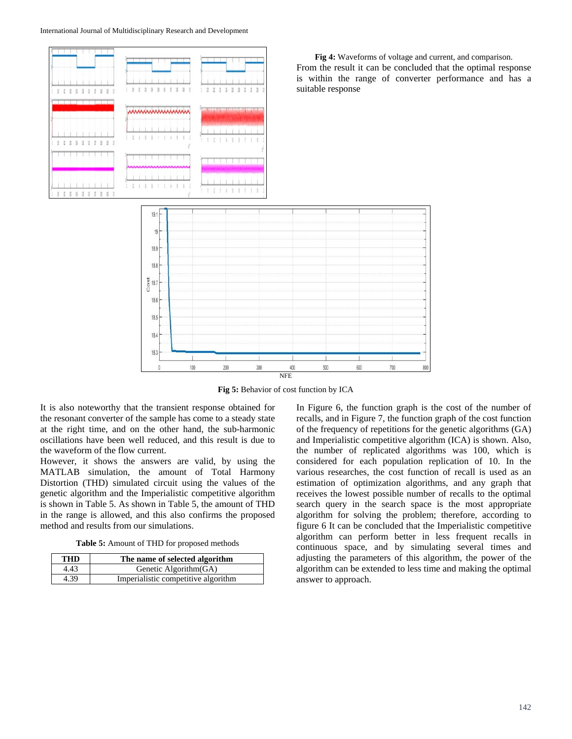

**Fig 5:** Behavior of cost function by ICA

It is also noteworthy that the transient response obtained for the resonant converter of the sample has come to a steady state at the right time, and on the other hand, the sub-harmonic oscillations have been well reduced, and this result is due to the waveform of the flow current.

However, it shows the answers are valid, by using the MATLAB simulation, the amount of Total Harmony Distortion (THD) simulated circuit using the values of the genetic algorithm and the Imperialistic competitive algorithm is shown in Table 5. As shown in Table 5, the amount of THD in the range is allowed, and this also confirms the proposed method and results from our simulations.

**Table 5:** Amount of THD for proposed methods

| <b>THD</b> | The name of selected algorithm      |
|------------|-------------------------------------|
| 4.43       | Genetic Algorithm (GA)              |
| 4.39       | Imperialistic competitive algorithm |

In Figure 6, the function graph is the cost of the number of recalls, and in Figure 7, the function graph of the cost function of the frequency of repetitions for the genetic algorithms (GA) and Imperialistic competitive algorithm (ICA) is shown. Also, the number of replicated algorithms was 100, which is considered for each population replication of 10. In the various researches, the cost function of recall is used as an estimation of optimization algorithms, and any graph that receives the lowest possible number of recalls to the optimal search query in the search space is the most appropriate algorithm for solving the problem; therefore, according to figure 6 It can be concluded that the Imperialistic competitive algorithm can perform better in less frequent recalls in continuous space, and by simulating several times and adjusting the parameters of this algorithm, the power of the algorithm can be extended to less time and making the optimal answer to approach.

**Fig 4:** Waveforms of voltage and current, and comparison. From the result it can be concluded that the optimal response is within the range of converter performance and has a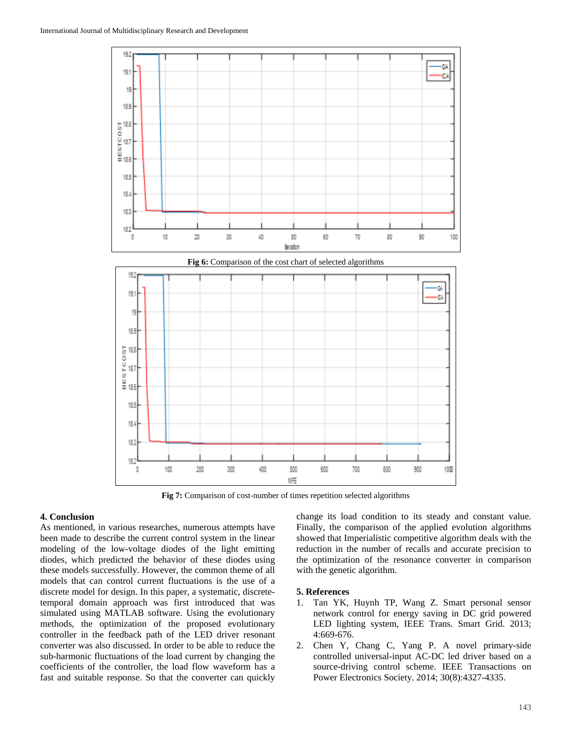

NFE **Fig 7:** Comparison of cost-number of times repetition selected algorithms

500

400

## **4. Conclusion**

As mentioned, in various researches, numerous attempts have been made to describe the current control system in the linear modeling of the low-voltage diodes of the light emitting diodes, which predicted the behavior of these diodes using these models successfully. However, the common theme of all models that can control current fluctuations is the use of a discrete model for design. In this paper, a systematic, discretetemporal domain approach was first introduced that was simulated using MATLAB software. Using the evolutionary methods, the optimization of the proposed evolutionary controller in the feedback path of the LED driver resonant converter was also discussed. In order to be able to reduce the sub-harmonic fluctuations of the load current by changing the coefficients of the controller, the load flow waveform has a fast and suitable response. So that the converter can quickly

200

100

300

18.5 184

183 182

0

change its load condition to its steady and constant value. Finally, the comparison of the applied evolution algorithms showed that Imperialistic competitive algorithm deals with the reduction in the number of recalls and accurate precision to the optimization of the resonance converter in comparison with the genetic algorithm.

900

1000

### **5. References**

600

700

800

- 1. Tan YK, Huynh TP, Wang Z. Smart personal sensor network control for energy saving in DC grid powered LED lighting system, IEEE Trans. Smart Grid. 2013; 4:669-676.
- 2. Chen Y, Chang C, Yang P. A novel primary-side controlled universal-input AC-DC led driver based on a source-driving control scheme. IEEE Transactions on Power Electronics Society. 2014; 30(8):4327-4335.